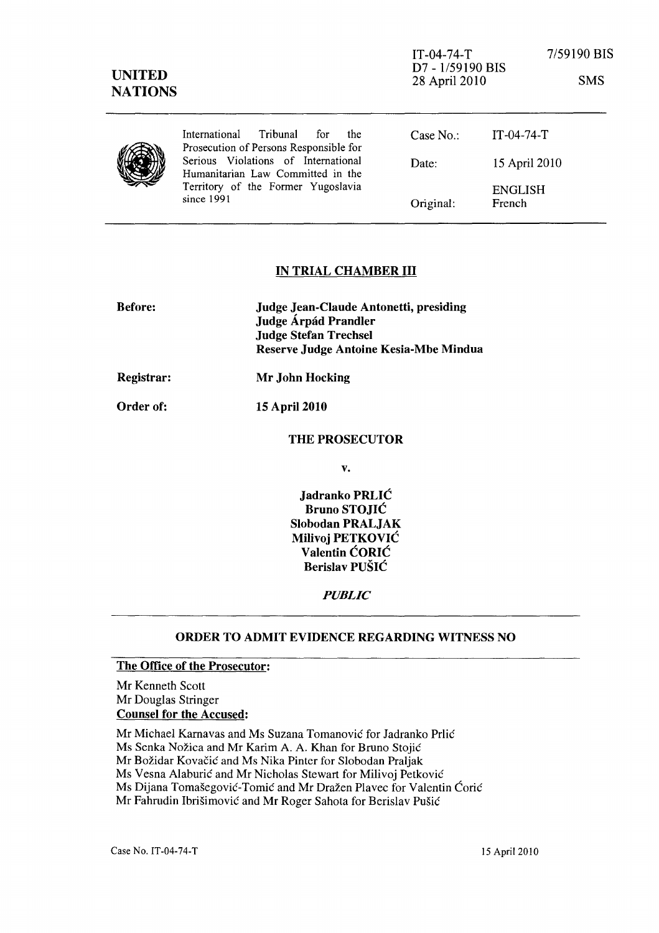| <b>UNITED</b><br><b>NATIONS</b> |                                                                                                                              | $IT-04-74-T$<br>D7 - 1/59190 BIS<br>28 April 2010 |                          | 7/59190 BIS<br><b>SMS</b> |
|---------------------------------|------------------------------------------------------------------------------------------------------------------------------|---------------------------------------------------|--------------------------|---------------------------|
|                                 | International<br>Tribunal<br>the<br>for<br>Prosecution of Persons Responsible for                                            | Case No.                                          | $IT-04-74-T$             |                           |
|                                 | Serious Violations of International<br>Humanitarian Law Committed in the<br>Territory of the Former Yugoslavia<br>since 1991 | Date:                                             | 15 April 2010            |                           |
|                                 |                                                                                                                              | Original:                                         | <b>ENGLISH</b><br>French |                           |

#### IN TRIAL CHAMBER III

| <b>Before:</b> | Judge Jean-Claude Antonetti, presiding<br>Judge Árpád Prandler<br><b>Judge Stefan Trechsel</b><br>Reserve Judge Antoine Kesia-Mbe Mindua |  |
|----------------|------------------------------------------------------------------------------------------------------------------------------------------|--|
| Registrar:     | Mr John Hocking                                                                                                                          |  |
| Order of:      | <b>15 April 2010</b>                                                                                                                     |  |
|                | <b>THE PROSECUTOR</b>                                                                                                                    |  |
|                | v.                                                                                                                                       |  |

Jadranko PRLIC Bruno STOJIC Slobodan PRALJAK Milivoj PETKOVIC Valentin CORIC Berislav PUSIC

*PUBLIC* 

#### ORDER TO ADMIT EVIDENCE REGARDING WITNESS NO

# The Office of the Prosecutor:

Mr Kenneth Scott Mr Douglas Stringer Counsel for the Accused:

Mr Michael Karnavas and Ms Suzana Tomanović for Jadranko Prlić

Ms Senka Nozica and Mr Karim A. A. Khan for Bruno Stojic

Mr Božidar Kovačić and Ms Nika Pinter for Slobodan Praljak

Ms Vesna Alaburić and Mr Nicholas Stewart for Milivoj Petković

Ms Dijana Tomašegović-Tomić and Mr Dražen Plavec for Valentin Ćorić

Mr Fahrudin Ibrišimović and Mr Roger Sahota for Berislav Pušić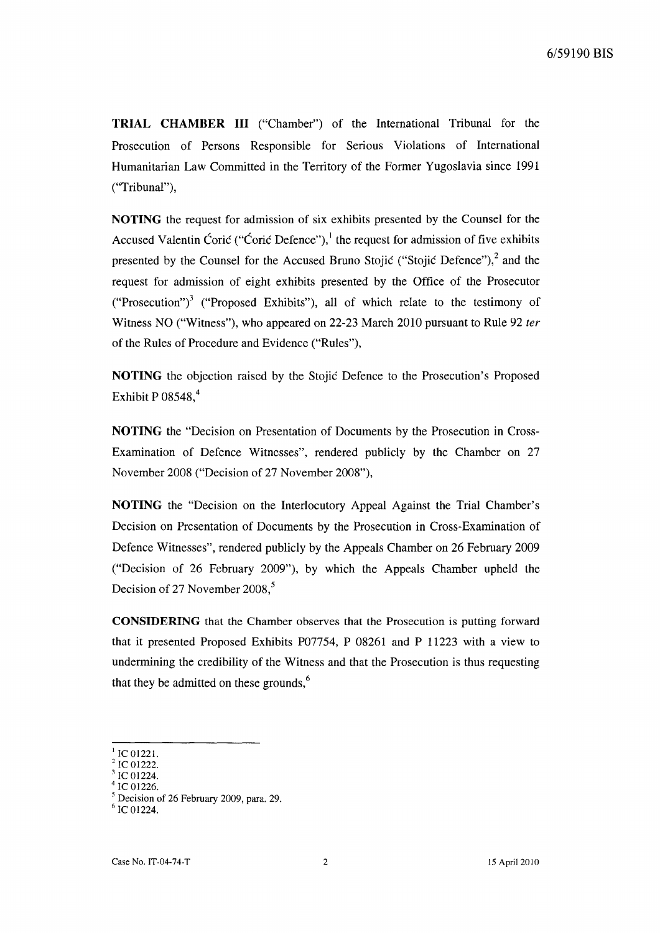**TRIAL CHAMBER III** ("Chamber") of the International Tribunal for the Prosecution of Persons Responsible for Serious Violations of International Humanitarian Law Committed in the Territory of the Former Yugoslavia since 1991 ("Tribunal"),

**NOTING** the request for admission of six exhibits presented by the Counsel for the Accused Valentin Ćorić ("Ćorić Defence"), $\frac{1}{1}$  the request for admission of five exhibits presented by the Counsel for the Accused Bruno Stojić ("Stojić Defence"), $^2$  and the request for admission of eight exhibits presented by the Office of the Prosecutor ("Prosecution")<sup>3</sup> ("Proposed Exhibits"), all of which relate to the testimony of Witness NO ("Witness"), who appeared on 22-23 March 2010 pursuant to Rule 92 *ter*  of the Rules of Procedure and Evidence ("Rules"),

**NOTING** the objection raised by the Stojie Defence to the Prosecution's Proposed Exhibit P  $08548<sup>4</sup>$ 

**NOTING** the "Decision on Presentation of Documents by the Prosecution in Cross-Examination of Defence Witnesses", rendered publicly by the Chamber on 27 November 2008 ("Decision of 27 November 2008"),

**NOTING** the "Decision on the Interlocutory Appeal Against the Trial Chamber's Decision on Presentation of Documents by the Prosecution in Cross-Examination of Defence Witnesses", rendered publicly by the Appeals Chamber on 26 February 2009 ("Decision of 26 February 2009"), by which the Appeals Chamber upheld the Decision of 27 November 2008,<sup>5</sup>

**CONSIDERING** that the Chamber observes that the Prosecution is putting forward that it presented Proposed Exhibits P07754, P 08261 and P 11223 with a view to undermining the credibility of the Witness and that the Prosecution is thus requesting that they be admitted on these grounds, $<sup>6</sup>$ </sup>

IC 01221.

IC 01222.

IC 01224. IC 01226.

<sup>5</sup> Decision of 26 February 2009, para. 29.

 $^6$  IC 01224.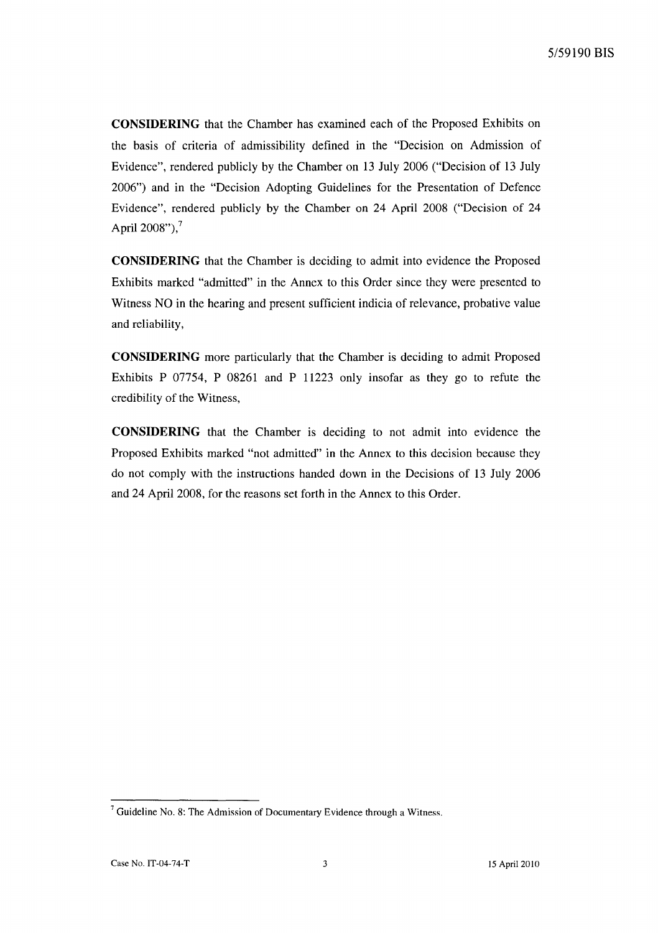**CONSIDERING** that the Chamber has examined each of the Proposed Exhibits on the basis of criteria of admissibility defined in the "Decision on Admission of Evidence", rendered publicly by the Chamber on 13 July 2006 ("Decision of 13 July 2006") and in the "Decision Adopting Guidelines for the Presentation of Defence Evidence", rendered publicly by the Chamber on 24 April 2008 ("Decision of 24 April  $2008"$ ),<sup>7</sup>

**CONSIDERING** that the Chamber is deciding to admit into evidence the Proposed Exhibits marked "admitted" in the Annex to this Order since they were presented to Witness NO in the hearing and present sufficient indicia of relevance, probative value and reliability,

**CONSIDERING** more particularly that the Chamber is deciding to admit Proposed Exhibits P 07754, P 08261 and P 11223 only insofar as they go to refute the credibility of the Witness,

**CONSIDERING** that the Chamber is deciding to not admit into evidence the Proposed Exhibits marked "not admitted" in the Annex to this decision because they do not comply with the instructions handed down in the Decisions of 13 July 2006 and 24 April 2008, for the reasons set forth in the Annex to this Order.

 $7$  Guideline No. 8: The Admission of Documentary Evidence through a Witness.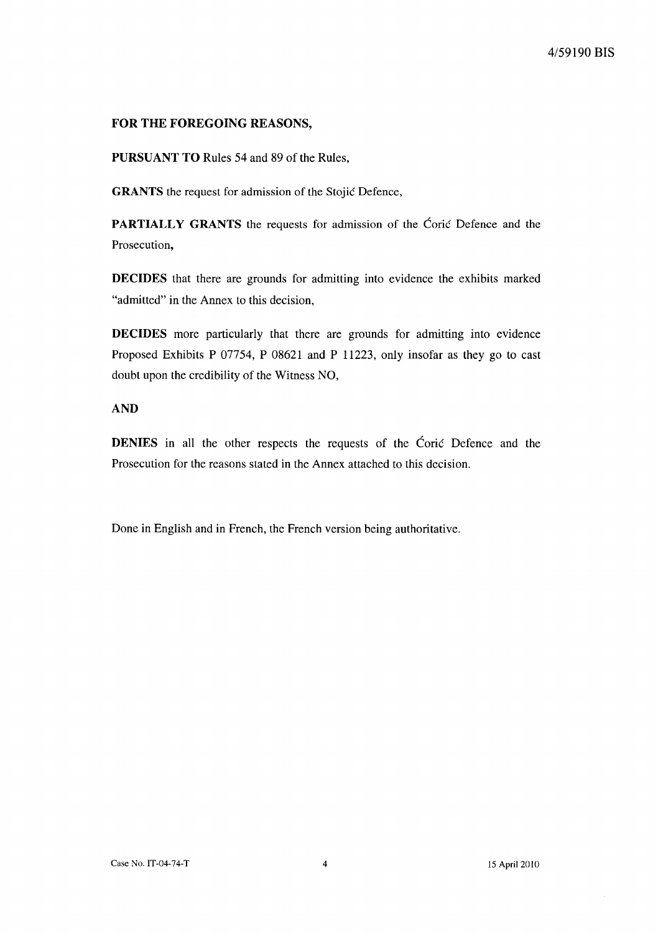### **FOR THE FOREGOING REASONS,**

**PURSUANT TO** Rules 54 and 89 of the Rules,

**GRANTS** the request for admission of the Stojić Defence,

**PARTIALLY GRANTS** the requests for admission of the Coric Defence and the Prosecution,

**DECIDES** that there are grounds for admitting into evidence the exhibits marked "admitted" in the Annex to this decision,

**DECIDES** more particularly that there are grounds for admitting into evidence Proposed Exhibits P 07754, P 08621 and P 11223, only insofar as they go to cast doubt upon the credibility of the Witness NO,

### **AND**

**DENIES** in all the other respects the requests of the Corie Defence and the Prosecution for the reasons stated in the Annex attached to this decision.

Done in English and in French, the French version being authoritative.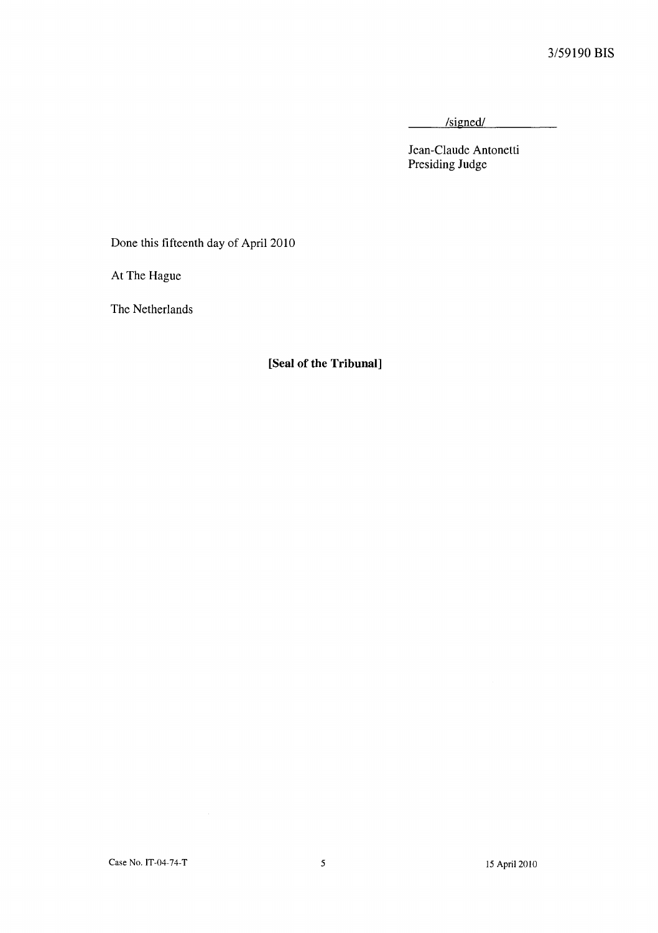/signed/

Jean-Claude Antonetti Presiding Judge

Done this fifteenth day of April 2010

At The Hague

The Netherlands

**[Seal of the Tribunal]**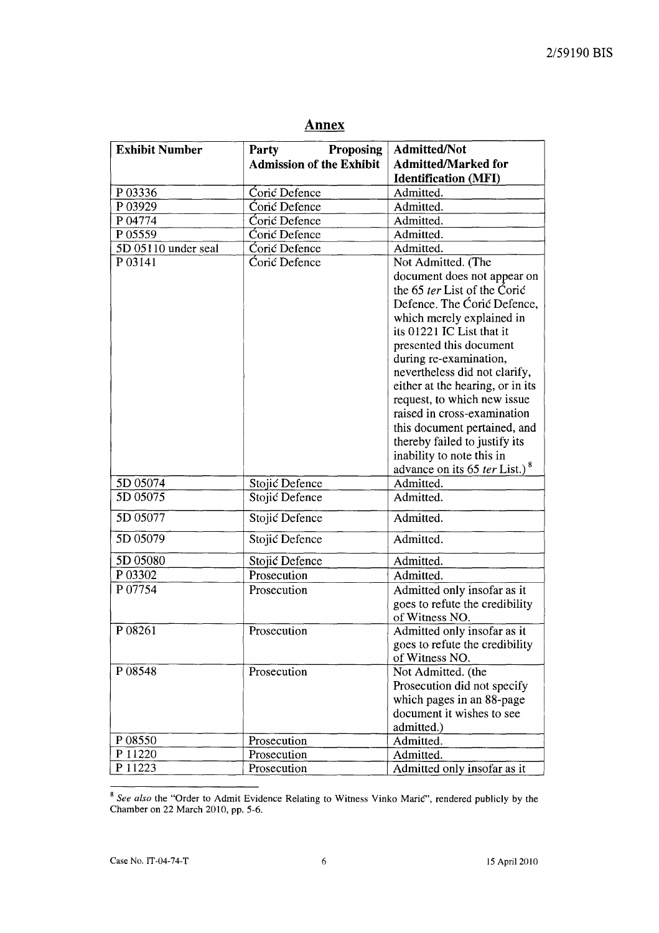| <b>Exhibit Number</b><br>Proposing<br><b>Party</b><br><b>Admission of the Exhibit</b><br>P 03336<br>Corić Defence<br>Admitted.<br>Coric Defence<br>P 03929<br>Admitted.<br>Coric Defence<br>Admitted.<br>P 04774<br>P 05559<br>Coric Defence<br>Admitted.<br>Coric Defence<br>5D 05110 under seal<br>Admitted.<br>Coric Defence<br>P 03141<br>Not Admitted. (The<br>5D 05074<br>Stojić Defence<br>Admitted.<br>5D 05075<br>Stojić Defence<br>Admitted.<br>5D 05077<br>Admitted.<br>Stojić Defence<br>5D 05079<br>Admitted.<br>Stojić Defence<br>5D 05080<br>Admitted.<br>Stojić Defence<br>P 03302<br>Prosecution<br>Admitted.<br>P 07754<br>Prosecution<br>of Witness NO.<br>P 08261<br>Prosecution<br>of Witness NO.<br>P 08548<br>Prosecution<br>admitted.)<br>P 08550<br>Admitted.<br>Prosecution<br>P 11220<br>Prosecution<br>Admitted. | Admitted/Not                                           |  |
|----------------------------------------------------------------------------------------------------------------------------------------------------------------------------------------------------------------------------------------------------------------------------------------------------------------------------------------------------------------------------------------------------------------------------------------------------------------------------------------------------------------------------------------------------------------------------------------------------------------------------------------------------------------------------------------------------------------------------------------------------------------------------------------------------------------------------------------------|--------------------------------------------------------|--|
|                                                                                                                                                                                                                                                                                                                                                                                                                                                                                                                                                                                                                                                                                                                                                                                                                                              | <b>Admitted/Marked for</b>                             |  |
|                                                                                                                                                                                                                                                                                                                                                                                                                                                                                                                                                                                                                                                                                                                                                                                                                                              | <b>Identification (MFI)</b>                            |  |
|                                                                                                                                                                                                                                                                                                                                                                                                                                                                                                                                                                                                                                                                                                                                                                                                                                              |                                                        |  |
|                                                                                                                                                                                                                                                                                                                                                                                                                                                                                                                                                                                                                                                                                                                                                                                                                                              |                                                        |  |
|                                                                                                                                                                                                                                                                                                                                                                                                                                                                                                                                                                                                                                                                                                                                                                                                                                              |                                                        |  |
|                                                                                                                                                                                                                                                                                                                                                                                                                                                                                                                                                                                                                                                                                                                                                                                                                                              |                                                        |  |
|                                                                                                                                                                                                                                                                                                                                                                                                                                                                                                                                                                                                                                                                                                                                                                                                                                              |                                                        |  |
|                                                                                                                                                                                                                                                                                                                                                                                                                                                                                                                                                                                                                                                                                                                                                                                                                                              |                                                        |  |
|                                                                                                                                                                                                                                                                                                                                                                                                                                                                                                                                                                                                                                                                                                                                                                                                                                              |                                                        |  |
|                                                                                                                                                                                                                                                                                                                                                                                                                                                                                                                                                                                                                                                                                                                                                                                                                                              | document does not appear on                            |  |
|                                                                                                                                                                                                                                                                                                                                                                                                                                                                                                                                                                                                                                                                                                                                                                                                                                              | the 65 ter List of the Coric                           |  |
|                                                                                                                                                                                                                                                                                                                                                                                                                                                                                                                                                                                                                                                                                                                                                                                                                                              | Defence. The Coric Defence,                            |  |
|                                                                                                                                                                                                                                                                                                                                                                                                                                                                                                                                                                                                                                                                                                                                                                                                                                              | which merely explained in                              |  |
|                                                                                                                                                                                                                                                                                                                                                                                                                                                                                                                                                                                                                                                                                                                                                                                                                                              | its 01221 IC List that it                              |  |
|                                                                                                                                                                                                                                                                                                                                                                                                                                                                                                                                                                                                                                                                                                                                                                                                                                              | presented this document                                |  |
|                                                                                                                                                                                                                                                                                                                                                                                                                                                                                                                                                                                                                                                                                                                                                                                                                                              | during re-examination,                                 |  |
|                                                                                                                                                                                                                                                                                                                                                                                                                                                                                                                                                                                                                                                                                                                                                                                                                                              | nevertheless did not clarify,                          |  |
|                                                                                                                                                                                                                                                                                                                                                                                                                                                                                                                                                                                                                                                                                                                                                                                                                                              | either at the hearing, or in its                       |  |
|                                                                                                                                                                                                                                                                                                                                                                                                                                                                                                                                                                                                                                                                                                                                                                                                                                              | request, to which new issue                            |  |
|                                                                                                                                                                                                                                                                                                                                                                                                                                                                                                                                                                                                                                                                                                                                                                                                                                              | raised in cross-examination                            |  |
|                                                                                                                                                                                                                                                                                                                                                                                                                                                                                                                                                                                                                                                                                                                                                                                                                                              | this document pertained, and                           |  |
|                                                                                                                                                                                                                                                                                                                                                                                                                                                                                                                                                                                                                                                                                                                                                                                                                                              | thereby failed to justify its                          |  |
|                                                                                                                                                                                                                                                                                                                                                                                                                                                                                                                                                                                                                                                                                                                                                                                                                                              | inability to note this in                              |  |
|                                                                                                                                                                                                                                                                                                                                                                                                                                                                                                                                                                                                                                                                                                                                                                                                                                              | advance on its 65 ter List.) <sup>8</sup>              |  |
|                                                                                                                                                                                                                                                                                                                                                                                                                                                                                                                                                                                                                                                                                                                                                                                                                                              |                                                        |  |
|                                                                                                                                                                                                                                                                                                                                                                                                                                                                                                                                                                                                                                                                                                                                                                                                                                              |                                                        |  |
|                                                                                                                                                                                                                                                                                                                                                                                                                                                                                                                                                                                                                                                                                                                                                                                                                                              |                                                        |  |
|                                                                                                                                                                                                                                                                                                                                                                                                                                                                                                                                                                                                                                                                                                                                                                                                                                              |                                                        |  |
|                                                                                                                                                                                                                                                                                                                                                                                                                                                                                                                                                                                                                                                                                                                                                                                                                                              |                                                        |  |
|                                                                                                                                                                                                                                                                                                                                                                                                                                                                                                                                                                                                                                                                                                                                                                                                                                              |                                                        |  |
|                                                                                                                                                                                                                                                                                                                                                                                                                                                                                                                                                                                                                                                                                                                                                                                                                                              | Admitted only insofar as it                            |  |
|                                                                                                                                                                                                                                                                                                                                                                                                                                                                                                                                                                                                                                                                                                                                                                                                                                              | goes to refute the credibility                         |  |
|                                                                                                                                                                                                                                                                                                                                                                                                                                                                                                                                                                                                                                                                                                                                                                                                                                              |                                                        |  |
|                                                                                                                                                                                                                                                                                                                                                                                                                                                                                                                                                                                                                                                                                                                                                                                                                                              | Admitted only insofar as it                            |  |
|                                                                                                                                                                                                                                                                                                                                                                                                                                                                                                                                                                                                                                                                                                                                                                                                                                              | goes to refute the credibility                         |  |
|                                                                                                                                                                                                                                                                                                                                                                                                                                                                                                                                                                                                                                                                                                                                                                                                                                              |                                                        |  |
|                                                                                                                                                                                                                                                                                                                                                                                                                                                                                                                                                                                                                                                                                                                                                                                                                                              | Not Admitted. (the                                     |  |
|                                                                                                                                                                                                                                                                                                                                                                                                                                                                                                                                                                                                                                                                                                                                                                                                                                              | Prosecution did not specify                            |  |
|                                                                                                                                                                                                                                                                                                                                                                                                                                                                                                                                                                                                                                                                                                                                                                                                                                              |                                                        |  |
|                                                                                                                                                                                                                                                                                                                                                                                                                                                                                                                                                                                                                                                                                                                                                                                                                                              |                                                        |  |
|                                                                                                                                                                                                                                                                                                                                                                                                                                                                                                                                                                                                                                                                                                                                                                                                                                              |                                                        |  |
|                                                                                                                                                                                                                                                                                                                                                                                                                                                                                                                                                                                                                                                                                                                                                                                                                                              |                                                        |  |
|                                                                                                                                                                                                                                                                                                                                                                                                                                                                                                                                                                                                                                                                                                                                                                                                                                              |                                                        |  |
| P 11223<br>Prosecution                                                                                                                                                                                                                                                                                                                                                                                                                                                                                                                                                                                                                                                                                                                                                                                                                       | Admitted only insofar as it                            |  |
|                                                                                                                                                                                                                                                                                                                                                                                                                                                                                                                                                                                                                                                                                                                                                                                                                                              | which pages in an 88-page<br>document it wishes to see |  |

# Annex

<sup>&</sup>lt;sup>8</sup> See also the "Order to Admit Evidence Relating to Witness Vinko Maric", rendered publicly by the Chamber on 22 March 2010, pp. 5-6.